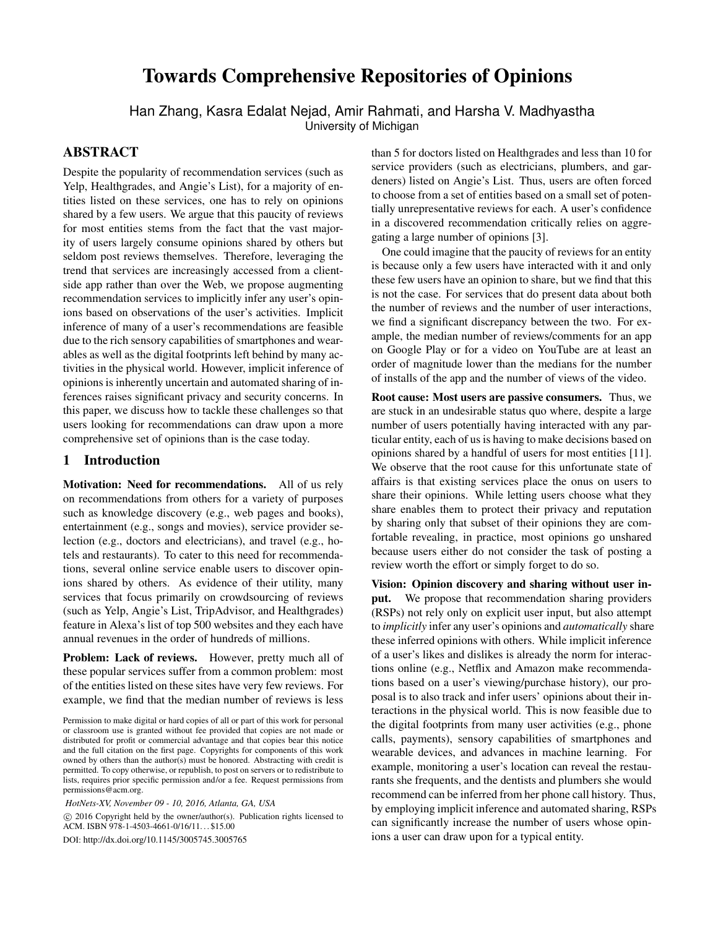# <span id="page-0-0"></span>Towards Comprehensive Repositories of Opinions

Han Zhang, Kasra Edalat Nejad, Amir Rahmati, and Harsha V. Madhyastha University of Michigan

## **ABSTRACT**

Despite the popularity of recommendation services (such as Yelp, Healthgrades, and Angie's List), for a majority of entities listed on these services, one has to rely on opinions shared by a few users. We argue that this paucity of reviews for most entities stems from the fact that the vast majority of users largely consume opinions shared by others but seldom post reviews themselves. Therefore, leveraging the trend that services are increasingly accessed from a clientside app rather than over the Web, we propose augmenting recommendation services to implicitly infer any user's opinions based on observations of the user's activities. Implicit inference of many of a user's recommendations are feasible due to the rich sensory capabilities of smartphones and wearables as well as the digital footprints left behind by many activities in the physical world. However, implicit inference of opinions is inherently uncertain and automated sharing of inferences raises significant privacy and security concerns. In this paper, we discuss how to tackle these challenges so that users looking for recommendations can draw upon a more comprehensive set of opinions than is the case today.

## 1 Introduction

Motivation: Need for recommendations. All of us rely on recommendations from others for a variety of purposes such as knowledge discovery (e.g., web pages and books), entertainment (e.g., songs and movies), service provider selection (e.g., doctors and electricians), and travel (e.g., hotels and restaurants). To cater to this need for recommendations, several online service enable users to discover opinions shared by others. As evidence of their utility, many services that focus primarily on crowdsourcing of reviews (such as Yelp, Angie's List, TripAdvisor, and Healthgrades) feature in Alexa's list of top 500 websites and they each have annual revenues in the order of hundreds of millions.

**Problem: Lack of reviews.** However, pretty much all of these popular services suffer from a common problem: most of the entities listed on these sites have very few reviews. For example, we find that the median number of reviews is less

 $\circ$  2016 Copyright held by the owner/author(s). Publication rights licensed to ACM. ISBN 978-1-4503-4661-0/16/11. . . \$15.00

DOI: <http://dx.doi.org/10.1145/3005745.3005765>

than 5 for doctors listed on Healthgrades and less than 10 for service providers (such as electricians, plumbers, and gardeners) listed on Angie's List. Thus, users are often forced to choose from a set of entities based on a small set of potentially unrepresentative reviews for each. A user's confidence in a discovered recommendation critically relies on aggregating a large number of opinions [\[3\]](#page-6-0).

One could imagine that the paucity of reviews for an entity is because only a few users have interacted with it and only these few users have an opinion to share, but we find that this is not the case. For services that do present data about both the number of reviews and the number of user interactions, we find a significant discrepancy between the two. For example, the median number of reviews/comments for an app on Google Play or for a video on YouTube are at least an order of magnitude lower than the medians for the number of installs of the app and the number of views of the video.

Root cause: Most users are passive consumers. Thus, we are stuck in an undesirable status quo where, despite a large number of users potentially having interacted with any particular entity, each of us is having to make decisions based on opinions shared by a handful of users for most entities [\[11\]](#page-6-1). We observe that the root cause for this unfortunate state of affairs is that existing services place the onus on users to share their opinions. While letting users choose what they share enables them to protect their privacy and reputation by sharing only that subset of their opinions they are comfortable revealing, in practice, most opinions go unshared because users either do not consider the task of posting a review worth the effort or simply forget to do so.

Vision: Opinion discovery and sharing without user input. We propose that recommendation sharing providers (RSPs) not rely only on explicit user input, but also attempt to *implicitly* infer any user's opinions and *automatically* share these inferred opinions with others. While implicit inference of a user's likes and dislikes is already the norm for interactions online (e.g., Netflix and Amazon make recommendations based on a user's viewing/purchase history), our proposal is to also track and infer users' opinions about their interactions in the physical world. This is now feasible due to the digital footprints from many user activities (e.g., phone calls, payments), sensory capabilities of smartphones and wearable devices, and advances in machine learning. For example, monitoring a user's location can reveal the restaurants she frequents, and the dentists and plumbers she would recommend can be inferred from her phone call history. Thus, by employing implicit inference and automated sharing, RSPs can significantly increase the number of users whose opinions a user can draw upon for a typical entity.

Permission to make digital or hard copies of all or part of this work for personal or classroom use is granted without fee provided that copies are not made or distributed for profit or commercial advantage and that copies bear this notice and the full citation on the first page. Copyrights for components of this work owned by others than the author(s) must be honored. Abstracting with credit is permitted. To copy otherwise, or republish, to post on servers or to redistribute to lists, requires prior specific permission and/or a fee. Request permissions from permissions@acm.org.

*HotNets-XV, November 09 - 10, 2016, Atlanta, GA, USA*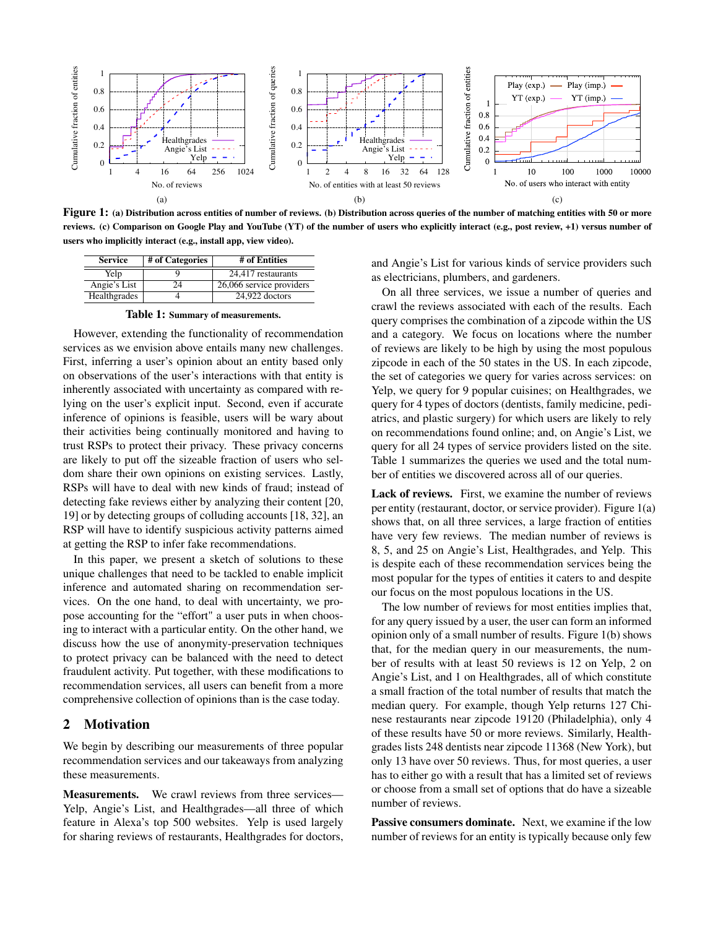

<span id="page-1-1"></span>Figure 1: (a) Distribution across entities of number of reviews. (b) Distribution across queries of the number of matching entities with 50 or more reviews. (c) Comparison on Google Play and YouTube (YT) of the number of users who explicitly interact (e.g., post review, +1) versus number of users who implicitly interact (e.g., install app, view video).

| <b>Service</b> | # of Categories | # of Entities            |
|----------------|-----------------|--------------------------|
| Yelp           |                 | 24,417 restaurants       |
| Angie's List   | 24              | 26,066 service providers |
| Healthgrades   |                 | 24,922 doctors           |

<span id="page-1-0"></span>Table 1: Summary of measurements.

However, extending the functionality of recommendation services as we envision above entails many new challenges. First, inferring a user's opinion about an entity based only on observations of the user's interactions with that entity is inherently associated with uncertainty as compared with relying on the user's explicit input. Second, even if accurate inference of opinions is feasible, users will be wary about their activities being continually monitored and having to trust RSPs to protect their privacy. These privacy concerns are likely to put off the sizeable fraction of users who seldom share their own opinions on existing services. Lastly, RSPs will have to deal with new kinds of fraud; instead of detecting fake reviews either by analyzing their content [\[20,](#page-6-2) [19\]](#page-6-3) or by detecting groups of colluding accounts [\[18,](#page-6-4) [32\]](#page-6-5), an RSP will have to identify suspicious activity patterns aimed at getting the RSP to infer fake recommendations.

In this paper, we present a sketch of solutions to these unique challenges that need to be tackled to enable implicit inference and automated sharing on recommendation services. On the one hand, to deal with uncertainty, we propose accounting for the "effort" a user puts in when choosing to interact with a particular entity. On the other hand, we discuss how the use of anonymity-preservation techniques to protect privacy can be balanced with the need to detect fraudulent activity. Put together, with these modifications to recommendation services, all users can benefit from a more comprehensive collection of opinions than is the case today.

## 2 Motivation

We begin by describing our measurements of three popular recommendation services and our takeaways from analyzing these measurements.

Measurements. We crawl reviews from three services— Yelp, Angie's List, and Healthgrades—all three of which feature in Alexa's top 500 websites. Yelp is used largely for sharing reviews of restaurants, Healthgrades for doctors, and Angie's List for various kinds of service providers such as electricians, plumbers, and gardeners.

On all three services, we issue a number of queries and crawl the reviews associated with each of the results. Each query comprises the combination of a zipcode within the US and a category. We focus on locations where the number of reviews are likely to be high by using the most populous zipcode in each of the 50 states in the US. In each zipcode, the set of categories we query for varies across services: on Yelp, we query for 9 popular cuisines; on Healthgrades, we query for 4 types of doctors (dentists, family medicine, pediatrics, and plastic surgery) for which users are likely to rely on recommendations found online; and, on Angie's List, we query for all 24 types of service providers listed on the site. Table [1](#page-1-0) summarizes the queries we used and the total number of entities we discovered across all of our queries.

Lack of reviews. First, we examine the number of reviews per entity (restaurant, doctor, or service provider). Figure [1\(](#page-1-1)a) shows that, on all three services, a large fraction of entities have very few reviews. The median number of reviews is 8, 5, and 25 on Angie's List, Healthgrades, and Yelp. This is despite each of these recommendation services being the most popular for the types of entities it caters to and despite our focus on the most populous locations in the US.

The low number of reviews for most entities implies that, for any query issued by a user, the user can form an informed opinion only of a small number of results. Figure [1\(](#page-1-1)b) shows that, for the median query in our measurements, the number of results with at least 50 reviews is 12 on Yelp, 2 on Angie's List, and 1 on Healthgrades, all of which constitute a small fraction of the total number of results that match the median query. For example, though Yelp returns 127 Chinese restaurants near zipcode 19120 (Philadelphia), only 4 of these results have 50 or more reviews. Similarly, Healthgrades lists 248 dentists near zipcode 11368 (New York), but only 13 have over 50 reviews. Thus, for most queries, a user has to either go with a result that has a limited set of reviews or choose from a small set of options that do have a sizeable number of reviews.

Passive consumers dominate. Next, we examine if the low number of reviews for an entity is typically because only few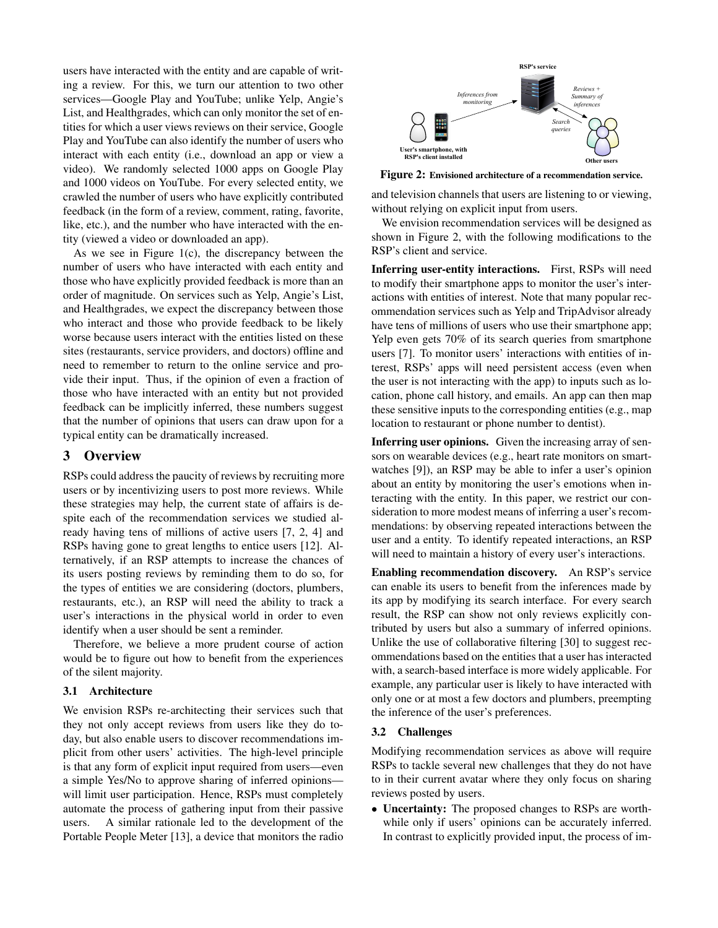users have interacted with the entity and are capable of writing a review. For this, we turn our attention to two other services—Google Play and YouTube; unlike Yelp, Angie's List, and Healthgrades, which can only monitor the set of entities for which a user views reviews on their service, Google Play and YouTube can also identify the number of users who interact with each entity (i.e., download an app or view a video). We randomly selected 1000 apps on Google Play and 1000 videos on YouTube. For every selected entity, we crawled the number of users who have explicitly contributed feedback (in the form of a review, comment, rating, favorite, like, etc.), and the number who have interacted with the entity (viewed a video or downloaded an app).

As we see in Figure [1\(](#page-1-1)c), the discrepancy between the number of users who have interacted with each entity and those who have explicitly provided feedback is more than an order of magnitude. On services such as Yelp, Angie's List, and Healthgrades, we expect the discrepancy between those who interact and those who provide feedback to be likely worse because users interact with the entities listed on these sites (restaurants, service providers, and doctors) offline and need to remember to return to the online service and provide their input. Thus, if the opinion of even a fraction of those who have interacted with an entity but not provided feedback can be implicitly inferred, these numbers suggest that the number of opinions that users can draw upon for a typical entity can be dramatically increased.

## 3 Overview

RSPs could address the paucity of reviews by recruiting more users or by incentivizing users to post more reviews. While these strategies may help, the current state of affairs is despite each of the recommendation services we studied already having tens of millions of active users [\[7,](#page-6-6) [2,](#page-6-7) [4\]](#page-6-8) and RSPs having gone to great lengths to entice users [\[12\]](#page-6-9). Alternatively, if an RSP attempts to increase the chances of its users posting reviews by reminding them to do so, for the types of entities we are considering (doctors, plumbers, restaurants, etc.), an RSP will need the ability to track a user's interactions in the physical world in order to even identify when a user should be sent a reminder.

Therefore, we believe a more prudent course of action would be to figure out how to benefit from the experiences of the silent majority.

#### 3.1 Architecture

We envision RSPs re-architecting their services such that they not only accept reviews from users like they do today, but also enable users to discover recommendations implicit from other users' activities. The high-level principle is that any form of explicit input required from users—even a simple Yes/No to approve sharing of inferred opinions will limit user participation. Hence, RSPs must completely automate the process of gathering input from their passive users. A similar rationale led to the development of the Portable People Meter [\[13\]](#page-6-10), a device that monitors the radio



<span id="page-2-0"></span>Figure 2: Envisioned architecture of a recommendation service.

and television channels that users are listening to or viewing, without relying on explicit input from users.

We envision recommendation services will be designed as shown in Figure [2,](#page-2-0) with the following modifications to the RSP's client and service.

Inferring user-entity interactions. First, RSPs will need to modify their smartphone apps to monitor the user's interactions with entities of interest. Note that many popular recommendation services such as Yelp and TripAdvisor already have tens of millions of users who use their smartphone app; Yelp even gets 70% of its search queries from smartphone users [\[7\]](#page-6-6). To monitor users' interactions with entities of interest, RSPs' apps will need persistent access (even when the user is not interacting with the app) to inputs such as location, phone call history, and emails. An app can then map these sensitive inputs to the corresponding entities (e.g., map location to restaurant or phone number to dentist).

Inferring user opinions. Given the increasing array of sensors on wearable devices (e.g., heart rate monitors on smartwatches [\[9\]](#page-6-11)), an RSP may be able to infer a user's opinion about an entity by monitoring the user's emotions when interacting with the entity. In this paper, we restrict our consideration to more modest means of inferring a user's recommendations: by observing repeated interactions between the user and a entity. To identify repeated interactions, an RSP will need to maintain a history of every user's interactions.

Enabling recommendation discovery. An RSP's service can enable its users to benefit from the inferences made by its app by modifying its search interface. For every search result, the RSP can show not only reviews explicitly contributed by users but also a summary of inferred opinions. Unlike the use of collaborative filtering [\[30\]](#page-6-12) to suggest recommendations based on the entities that a user has interacted with, a search-based interface is more widely applicable. For example, any particular user is likely to have interacted with only one or at most a few doctors and plumbers, preempting the inference of the user's preferences.

#### 3.2 Challenges

Modifying recommendation services as above will require RSPs to tackle several new challenges that they do not have to in their current avatar where they only focus on sharing reviews posted by users.

• Uncertainty: The proposed changes to RSPs are worthwhile only if users' opinions can be accurately inferred. In contrast to explicitly provided input, the process of im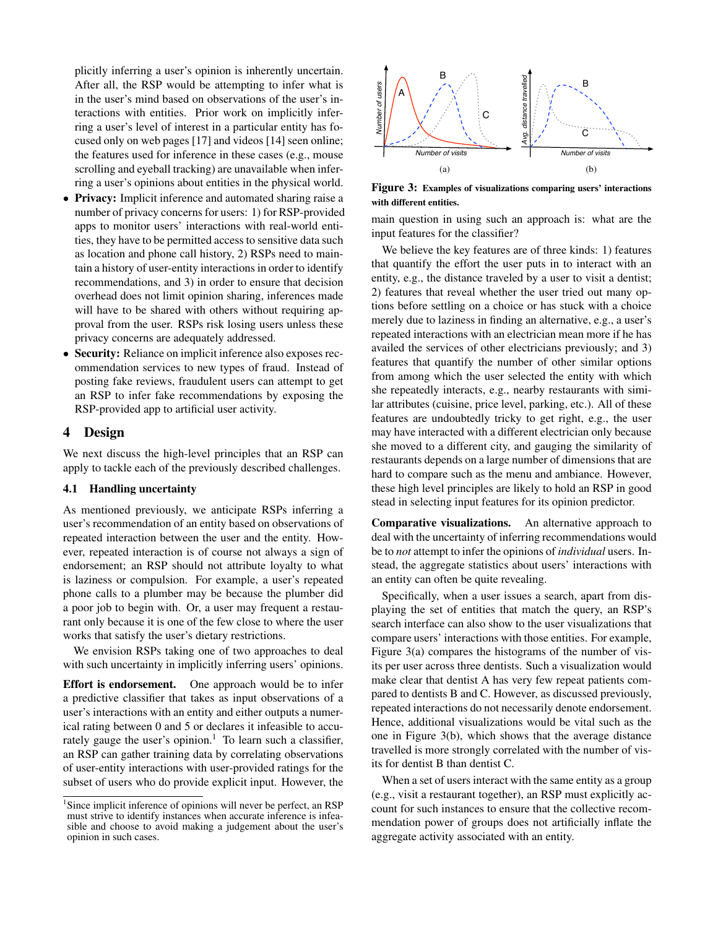plicitly inferring a user's opinion is inherently uncertain. After all, the RSP would be attempting to infer what is in the user's mind based on observations of the user's interactions with entities. Prior work on implicitly inferring a user's level of interest in a particular entity has focused only on web pages [\[17\]](#page-6-13) and videos [\[14\]](#page-6-14) seen online; the features used for inference in these cases (e.g., mouse scrolling and eyeball tracking) are unavailable when inferring a user's opinions about entities in the physical world.

- *•* Privacy: Implicit inference and automated sharing raise a number of privacy concerns for users: 1) for RSP-provided apps to monitor users' interactions with real-world entities, they have to be permitted access to sensitive data such as location and phone call history, 2) RSPs need to maintain a history of user-entity interactions in order to identify recommendations, and 3) in order to ensure that decision overhead does not limit opinion sharing, inferences made will have to be shared with others without requiring approval from the user. RSPs risk losing users unless these privacy concerns are adequately addressed.
- *•* Security: Reliance on implicit inference also exposes recommendation services to new types of fraud. Instead of posting fake reviews, fraudulent users can attempt to get an RSP to infer fake recommendations by exposing the RSP-provided app to artificial user activity.

## 4 Design

We next discuss the high-level principles that an RSP can apply to tackle each of the previously described challenges.

## <span id="page-3-1"></span>4.1 Handling uncertainty

As mentioned previously, we anticipate RSPs inferring a user's recommendation of an entity based on observations of repeated interaction between the user and the entity. However, repeated interaction is of course not always a sign of endorsement; an RSP should not attribute loyalty to what is laziness or compulsion. For example, a user's repeated phone calls to a plumber may be because the plumber did a poor job to begin with. Or, a user may frequent a restaurant only because it is one of the few close to where the user works that satisfy the user's dietary restrictions.

We envision RSPs taking one of two approaches to deal with such uncertainty in implicitly inferring users' opinions.

Effort is endorsement. One approach would be to infer a predictive classifier that takes as input observations of a user's interactions with an entity and either outputs a numerical rating between 0 and 5 or declares it infeasible to accurately gauge the user's opinion.<sup>1</sup> To learn such a classifier, an RSP can gather training data by correlating observations of user-entity interactions with user-provided ratings for the subset of users who do provide explicit input. However, the



<span id="page-3-0"></span>Figure 3: Examples of visualizations comparing users' interactions with different entities.

main question in using such an approach is: what are the input features for the classifier?

We believe the key features are of three kinds: 1) features that quantify the effort the user puts in to interact with an entity, e.g., the distance traveled by a user to visit a dentist; 2) features that reveal whether the user tried out many options before settling on a choice or has stuck with a choice merely due to laziness in finding an alternative, e.g., a user's repeated interactions with an electrician mean more if he has availed the services of other electricians previously; and 3) features that quantify the number of other similar options from among which the user selected the entity with which she repeatedly interacts, e.g., nearby restaurants with similar attributes (cuisine, price level, parking, etc.). All of these features are undoubtedly tricky to get right, e.g., the user may have interacted with a different electrician only because she moved to a different city, and gauging the similarity of restaurants depends on a large number of dimensions that are hard to compare such as the menu and ambiance. However, these high level principles are likely to hold an RSP in good stead in selecting input features for its opinion predictor.

Comparative visualizations. An alternative approach to deal with the uncertainty of inferring recommendations would be to *not* attempt to infer the opinions of *individual* users. Instead, the aggregate statistics about users' interactions with an entity can often be quite revealing.

Specifically, when a user issues a search, apart from displaying the set of entities that match the query, an RSP's search interface can also show to the user visualizations that compare users' interactions with those entities. For example, Figure [3\(](#page-3-0)a) compares the histograms of the number of visits per user across three dentists. Such a visualization would make clear that dentist A has very few repeat patients compared to dentists B and C. However, as discussed previously, repeated interactions do not necessarily denote endorsement. Hence, additional visualizations would be vital such as the one in Figure [3\(](#page-3-0)b), which shows that the average distance travelled is more strongly correlated with the number of visits for dentist B than dentist C.

When a set of users interact with the same entity as a group (e.g., visit a restaurant together), an RSP must explicitly account for such instances to ensure that the collective recommendation power of groups does not artificially inflate the aggregate activity associated with an entity.

<sup>&</sup>lt;sup>1</sup>Since implicit inference of opinions will never be perfect, an RSP must strive to identify instances when accurate inference is infeasible and choose to avoid making a judgement about the user's opinion in such cases.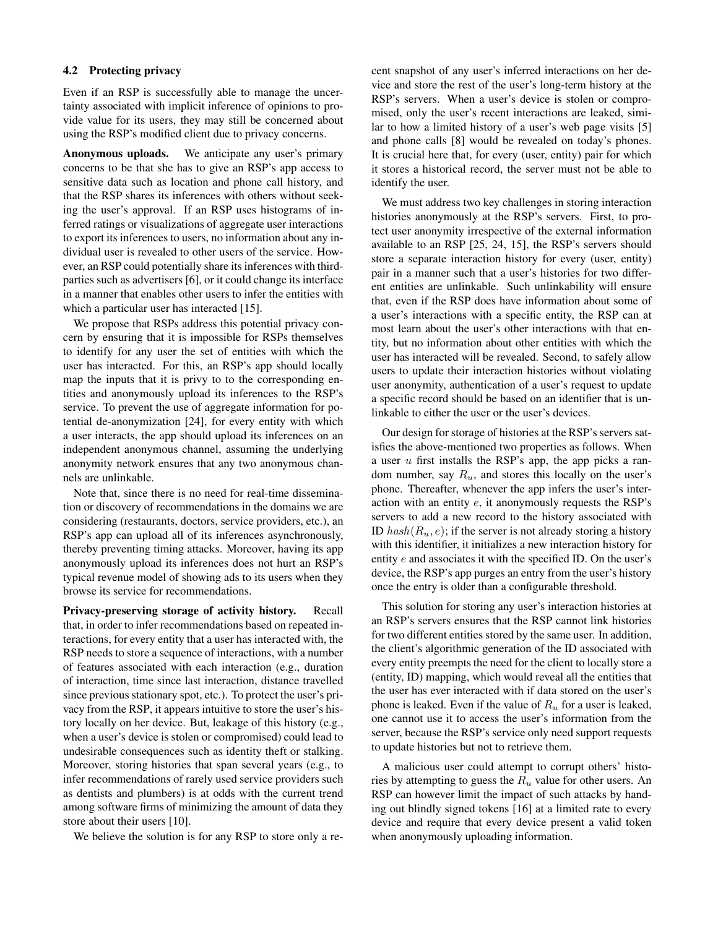### 4.2 Protecting privacy

Even if an RSP is successfully able to manage the uncertainty associated with implicit inference of opinions to provide value for its users, they may still be concerned about using the RSP's modified client due to privacy concerns.

Anonymous uploads. We anticipate any user's primary concerns to be that she has to give an RSP's app access to sensitive data such as location and phone call history, and that the RSP shares its inferences with others without seeking the user's approval. If an RSP uses histograms of inferred ratings or visualizations of aggregate user interactions to export its inferences to users, no information about any individual user is revealed to other users of the service. However, an RSP could potentially share its inferences with thirdparties such as advertisers [\[6\]](#page-6-15), or it could change its interface in a manner that enables other users to infer the entities with which a particular user has interacted [\[15\]](#page-6-16).

We propose that RSPs address this potential privacy concern by ensuring that it is impossible for RSPs themselves to identify for any user the set of entities with which the user has interacted. For this, an RSP's app should locally map the inputs that it is privy to to the corresponding entities and anonymously upload its inferences to the RSP's service. To prevent the use of aggregate information for potential de-anonymization [\[24\]](#page-6-17), for every entity with which a user interacts, the app should upload its inferences on an independent anonymous channel, assuming the underlying anonymity network ensures that any two anonymous channels are unlinkable.

Note that, since there is no need for real-time dissemination or discovery of recommendations in the domains we are considering (restaurants, doctors, service providers, etc.), an RSP's app can upload all of its inferences asynchronously, thereby preventing timing attacks. Moreover, having its app anonymously upload its inferences does not hurt an RSP's typical revenue model of showing ads to its users when they browse its service for recommendations.

Privacy-preserving storage of activity history. Recall that, in order to infer recommendations based on repeated interactions, for every entity that a user has interacted with, the RSP needs to store a sequence of interactions, with a number of features associated with each interaction (e.g., duration of interaction, time since last interaction, distance travelled since previous stationary spot, etc.). To protect the user's privacy from the RSP, it appears intuitive to store the user's history locally on her device. But, leakage of this history (e.g., when a user's device is stolen or compromised) could lead to undesirable consequences such as identity theft or stalking. Moreover, storing histories that span several years (e.g., to infer recommendations of rarely used service providers such as dentists and plumbers) is at odds with the current trend among software firms of minimizing the amount of data they store about their users [\[10\]](#page-6-18).

We believe the solution is for any RSP to store only a re-

cent snapshot of any user's inferred interactions on her device and store the rest of the user's long-term history at the RSP's servers. When a user's device is stolen or compromised, only the user's recent interactions are leaked, similar to how a limited history of a user's web page visits [\[5\]](#page-6-19) and phone calls [\[8\]](#page-6-20) would be revealed on today's phones. It is crucial here that, for every (user, entity) pair for which it stores a historical record, the server must not be able to identify the user.

We must address two key challenges in storing interaction histories anonymously at the RSP's servers. First, to protect user anonymity irrespective of the external information available to an RSP [\[25,](#page-6-21) [24,](#page-6-17) [15\]](#page-6-16), the RSP's servers should store a separate interaction history for every (user, entity) pair in a manner such that a user's histories for two different entities are unlinkable. Such unlinkability will ensure that, even if the RSP does have information about some of a user's interactions with a specific entity, the RSP can at most learn about the user's other interactions with that entity, but no information about other entities with which the user has interacted will be revealed. Second, to safely allow users to update their interaction histories without violating user anonymity, authentication of a user's request to update a specific record should be based on an identifier that is unlinkable to either the user or the user's devices.

Our design for storage of histories at the RSP's servers satisfies the above-mentioned two properties as follows. When a user *u* first installs the RSP's app, the app picks a random number, say *Ru*, and stores this locally on the user's phone. Thereafter, whenever the app infers the user's interaction with an entity *e*, it anonymously requests the RSP's servers to add a new record to the history associated with ID  $hash(R_u, e)$ ; if the server is not already storing a history with this identifier, it initializes a new interaction history for entity *e* and associates it with the specified ID. On the user's device, the RSP's app purges an entry from the user's history once the entry is older than a configurable threshold.

This solution for storing any user's interaction histories at an RSP's servers ensures that the RSP cannot link histories for two different entities stored by the same user. In addition, the client's algorithmic generation of the ID associated with every entity preempts the need for the client to locally store a (entity, ID) mapping, which would reveal all the entities that the user has ever interacted with if data stored on the user's phone is leaked. Even if the value of *R<sup>u</sup>* for a user is leaked, one cannot use it to access the user's information from the server, because the RSP's service only need support requests to update histories but not to retrieve them.

A malicious user could attempt to corrupt others' histories by attempting to guess the *R<sup>u</sup>* value for other users. An RSP can however limit the impact of such attacks by handing out blindly signed tokens [\[16\]](#page-6-22) at a limited rate to every device and require that every device present a valid token when anonymously uploading information.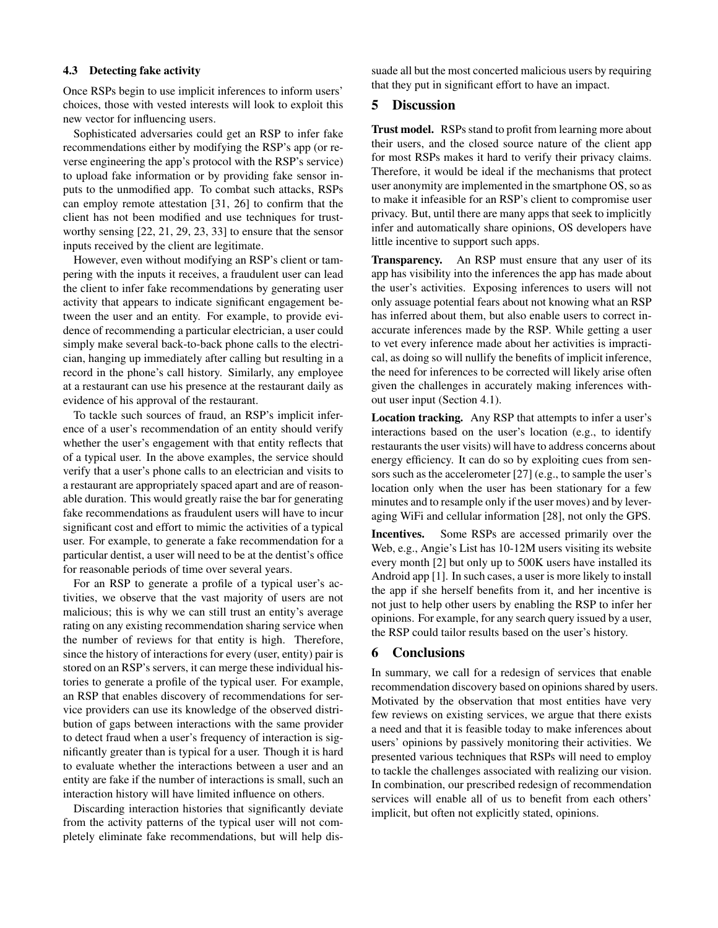#### 4.3 Detecting fake activity

Once RSPs begin to use implicit inferences to inform users' choices, those with vested interests will look to exploit this new vector for influencing users.

Sophisticated adversaries could get an RSP to infer fake recommendations either by modifying the RSP's app (or reverse engineering the app's protocol with the RSP's service) to upload fake information or by providing fake sensor inputs to the unmodified app. To combat such attacks, RSPs can employ remote attestation [\[31,](#page-6-23) [26\]](#page-6-24) to confirm that the client has not been modified and use techniques for trustworthy sensing [\[22,](#page-6-25) [21,](#page-6-26) [29,](#page-6-27) [23,](#page-6-28) [33\]](#page-6-29) to ensure that the sensor inputs received by the client are legitimate.

However, even without modifying an RSP's client or tampering with the inputs it receives, a fraudulent user can lead the client to infer fake recommendations by generating user activity that appears to indicate significant engagement between the user and an entity. For example, to provide evidence of recommending a particular electrician, a user could simply make several back-to-back phone calls to the electrician, hanging up immediately after calling but resulting in a record in the phone's call history. Similarly, any employee at a restaurant can use his presence at the restaurant daily as evidence of his approval of the restaurant.

To tackle such sources of fraud, an RSP's implicit inference of a user's recommendation of an entity should verify whether the user's engagement with that entity reflects that of a typical user. In the above examples, the service should verify that a user's phone calls to an electrician and visits to a restaurant are appropriately spaced apart and are of reasonable duration. This would greatly raise the bar for generating fake recommendations as fraudulent users will have to incur significant cost and effort to mimic the activities of a typical user. For example, to generate a fake recommendation for a particular dentist, a user will need to be at the dentist's office for reasonable periods of time over several years.

For an RSP to generate a profile of a typical user's activities, we observe that the vast majority of users are not malicious; this is why we can still trust an entity's average rating on any existing recommendation sharing service when the number of reviews for that entity is high. Therefore, since the history of interactions for every (user, entity) pair is stored on an RSP's servers, it can merge these individual histories to generate a profile of the typical user. For example, an RSP that enables discovery of recommendations for service providers can use its knowledge of the observed distribution of gaps between interactions with the same provider to detect fraud when a user's frequency of interaction is significantly greater than is typical for a user. Though it is hard to evaluate whether the interactions between a user and an entity are fake if the number of interactions is small, such an interaction history will have limited influence on others.

Discarding interaction histories that significantly deviate from the activity patterns of the typical user will not completely eliminate fake recommendations, but will help dissuade all but the most concerted malicious users by requiring that they put in significant effort to have an impact.

## 5 Discussion

Trust model. RSPs stand to profit from learning more about their users, and the closed source nature of the client app for most RSPs makes it hard to verify their privacy claims. Therefore, it would be ideal if the mechanisms that protect user anonymity are implemented in the smartphone OS, so as to make it infeasible for an RSP's client to compromise user privacy. But, until there are many apps that seek to implicitly infer and automatically share opinions, OS developers have little incentive to support such apps.

Transparency. An RSP must ensure that any user of its app has visibility into the inferences the app has made about the user's activities. Exposing inferences to users will not only assuage potential fears about not knowing what an RSP has inferred about them, but also enable users to correct inaccurate inferences made by the RSP. While getting a user to vet every inference made about her activities is impractical, as doing so will nullify the benefits of implicit inference, the need for inferences to be corrected will likely arise often given the challenges in accurately making inferences without user input (Section [4.1\)](#page-3-1).

Location tracking. Any RSP that attempts to infer a user's interactions based on the user's location (e.g., to identify restaurants the user visits) will have to address concerns about energy efficiency. It can do so by exploiting cues from sensors such as the accelerometer [\[27\]](#page-6-30) (e.g., to sample the user's location only when the user has been stationary for a few minutes and to resample only if the user moves) and by leveraging WiFi and cellular information [\[28\]](#page-6-31), not only the GPS.

Incentives. Some RSPs are accessed primarily over the Web, e.g., Angie's List has 10-12M users visiting its website every month [\[2\]](#page-6-7) but only up to 500K users have installed its Android app [\[1\]](#page-6-32). In such cases, a user is more likely to install the app if she herself benefits from it, and her incentive is not just to help other users by enabling the RSP to infer her opinions. For example, for any search query issued by a user, the RSP could tailor results based on the user's history.

### 6 Conclusions

In summary, we call for a redesign of services that enable recommendation discovery based on opinions shared by users. Motivated by the observation that most entities have very few reviews on existing services, we argue that there exists a need and that it is feasible today to make inferences about users' opinions by passively monitoring their activities. We presented various techniques that RSPs will need to employ to tackle the challenges associated with realizing our vision. In combination, our prescribed redesign of recommendation services will enable all of us to benefit from each others' implicit, but often not explicitly stated, opinions.